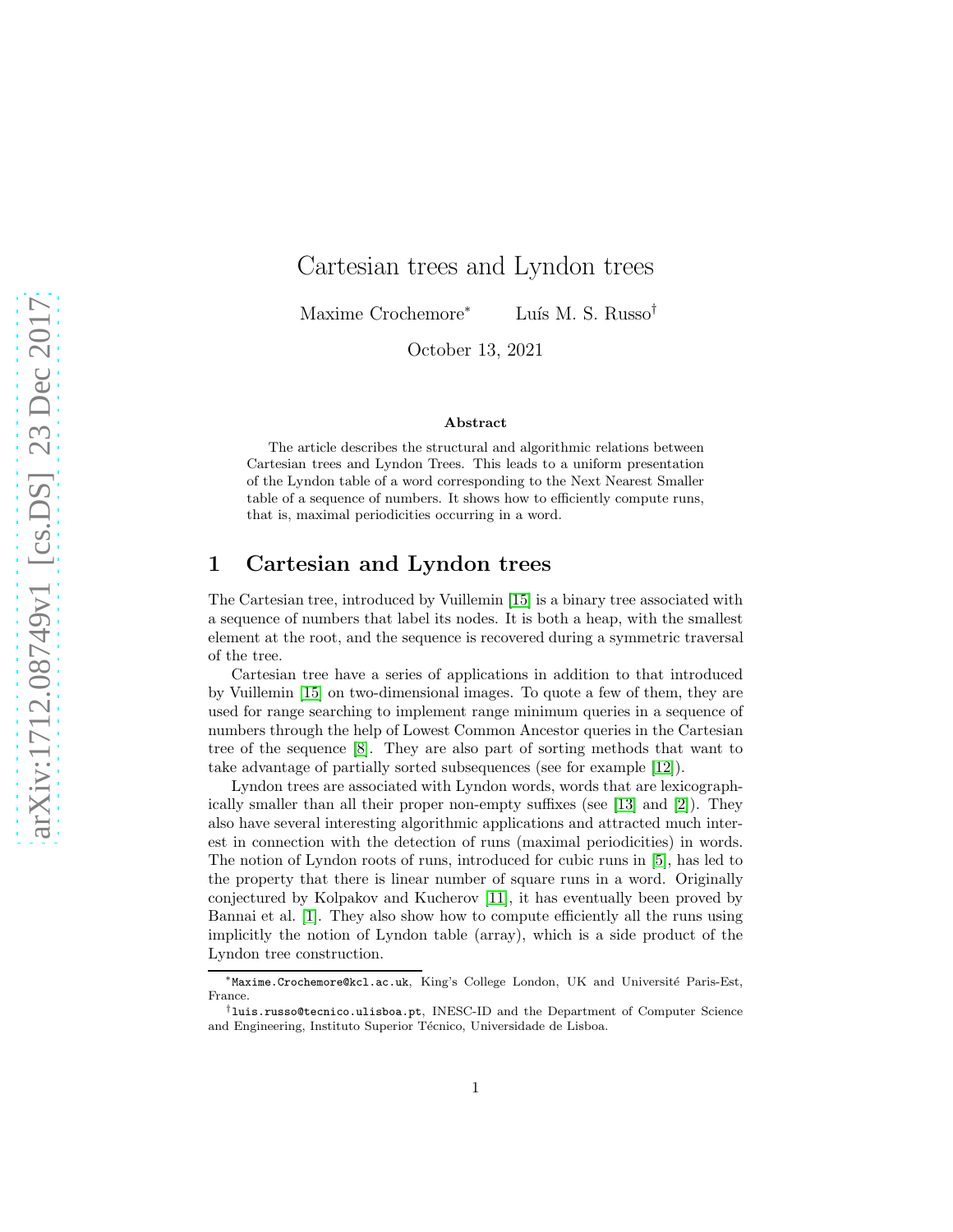# Cartesian trees and Lyndon trees

Maxime Crochemore<sup>∗</sup> Luís M. S. Russo<sup>†</sup>

October 13, 2021

#### Abstract

The article describes the structural and algorithmic relations between Cartesian trees and Lyndon Trees. This leads to a uniform presentation of the Lyndon table of a word corresponding to the Next Nearest Smaller table of a sequence of numbers. It shows how to efficiently compute runs, that is, maximal periodicities occurring in a word.

# 1 Cartesian and Lyndon trees

The Cartesian tree, introduced by Vuillemin [\[15\]](#page-11-0) is a binary tree associated with a sequence of numbers that label its nodes. It is both a heap, with the smallest element at the root, and the sequence is recovered during a symmetric traversal of the tree.

Cartesian tree have a series of applications in addition to that introduced by Vuillemin [\[15\]](#page-11-0) on two-dimensional images. To quote a few of them, they are used for range searching to implement range minimum queries in a sequence of numbers through the help of Lowest Common Ancestor queries in the Cartesian tree of the sequence [\[8\]](#page-10-0). They are also part of sorting methods that want to take advantage of partially sorted subsequences (see for example [\[12\]](#page-11-1)).

Lyndon trees are associated with Lyndon words, words that are lexicographically smaller than all their proper non-empty suffixes (see [\[13\]](#page-11-2) and [\[2\]](#page-10-1)). They also have several interesting algorithmic applications and attracted much interest in connection with the detection of runs (maximal periodicities) in words. The notion of Lyndon roots of runs, introduced for cubic runs in [\[5\]](#page-10-2), has led to the property that there is linear number of square runs in a word. Originally conjectured by Kolpakov and Kucherov [\[11\]](#page-11-3), it has eventually been proved by Bannai et al. [\[1\]](#page-10-3). They also show how to compute efficiently all the runs using implicitly the notion of Lyndon table (array), which is a side product of the Lyndon tree construction.

<sup>∗</sup>Maxime.Crochemore@kcl.ac.uk, King's College London, UK and Universit´e Paris-Est, France.

<sup>†</sup>luis.russo@tecnico.ulisboa.pt, INESC-ID and the Department of Computer Science and Engineering, Instituto Superior Técnico, Universidade de Lisboa.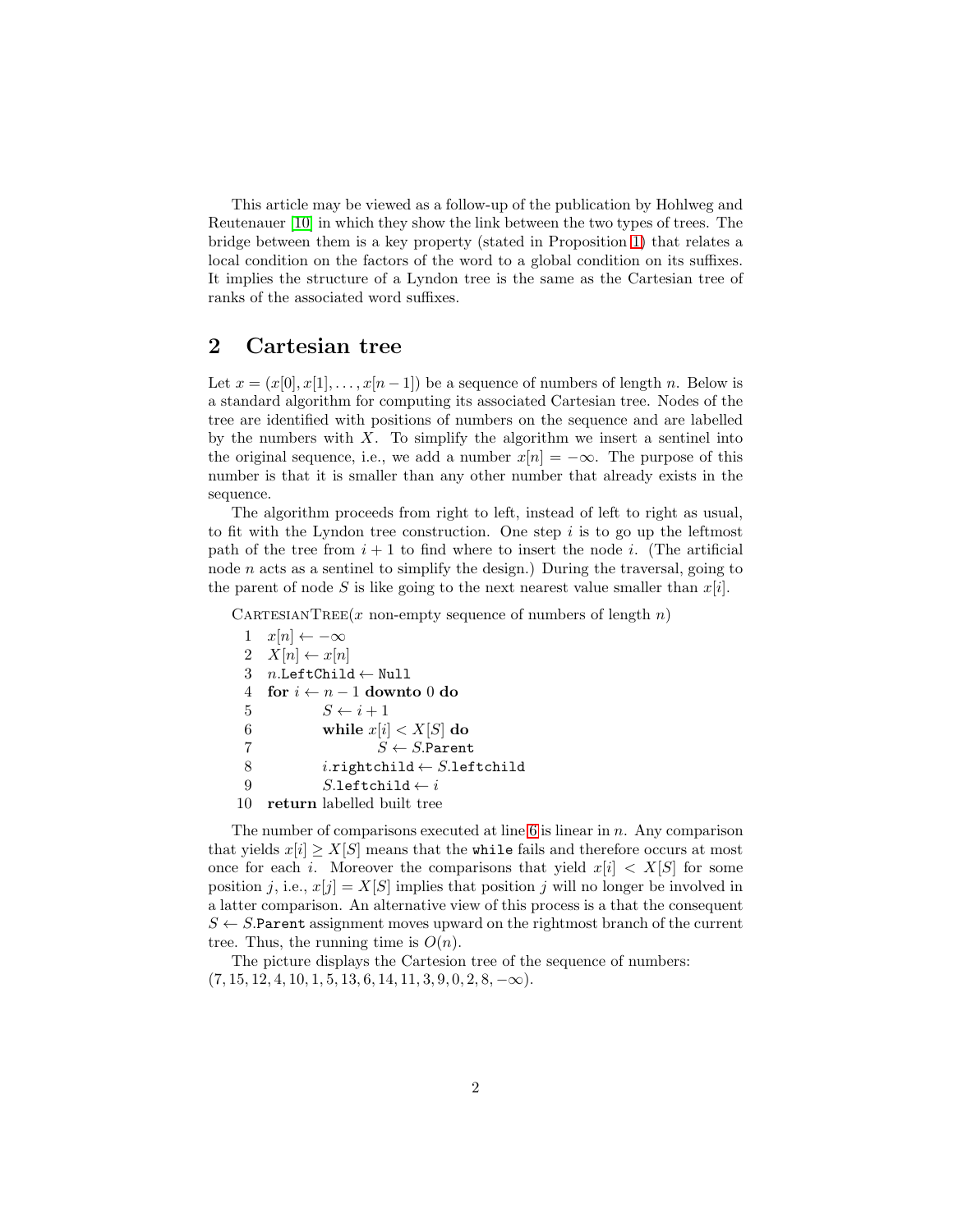This article may be viewed as a follow-up of the publication by Hohlweg and Reutenauer [\[10\]](#page-10-4) in which they show the link between the two types of trees. The bridge between them is a key property (stated in Proposition [1\)](#page-7-0) that relates a local condition on the factors of the word to a global condition on its suffixes. It implies the structure of a Lyndon tree is the same as the Cartesian tree of ranks of the associated word suffixes.

# <span id="page-1-0"></span>2 Cartesian tree

Let  $x = (x[0], x[1], \ldots, x[n-1])$  be a sequence of numbers of length n. Below is a standard algorithm for computing its associated Cartesian tree. Nodes of the tree are identified with positions of numbers on the sequence and are labelled by the numbers with  $X$ . To simplify the algorithm we insert a sentinel into the original sequence, i.e., we add a number  $x[n] = -\infty$ . The purpose of this number is that it is smaller than any other number that already exists in the sequence.

The algorithm proceeds from right to left, instead of left to right as usual, to fit with the Lyndon tree construction. One step  $i$  is to go up the leftmost path of the tree from  $i + 1$  to find where to insert the node i. (The artificial node  $n$  acts as a sentinel to simplify the design.) During the traversal, going to the parent of node S is like going to the next nearest value smaller than  $x[i]$ .

CARTESIANTREE(x non-empty sequence of numbers of length  $n$ )

1  $x[n] \leftarrow -\infty$ 2  $X[n] \leftarrow x[n]$ 3  $n$ .LeftChild  $\leftarrow$  Null 4 for  $i \leftarrow n-1$  downto 0 do 5  $S \leftarrow i + 1$ 6 while  $x[i] < X[S]$  do 7 S  $S \leftarrow S$ . Parent 8 i.rightchild  $\leftarrow$  S.leftchild 9  $S.\text{leftchild} \leftarrow i$ 10 return labelled built tree

The number of comparisons executed at line  $6$  is linear in  $n$ . Any comparison that yields  $x[i] \geq X[S]$  means that the while fails and therefore occurs at most once for each i. Moreover the comparisons that yield  $x[i] \leq X[S]$  for some position *i*, i.e.,  $x[i] = X[S]$  implies that position *i* will no longer be involved in a latter comparison. An alternative view of this process is a that the consequent  $S \leftarrow S$ . Parent assignment moves upward on the rightmost branch of the current tree. Thus, the running time is  $O(n)$ .

The picture displays the Cartesion tree of the sequence of numbers:  $(7, 15, 12, 4, 10, 1, 5, 13, 6, 14, 11, 3, 9, 0, 2, 8, -\infty).$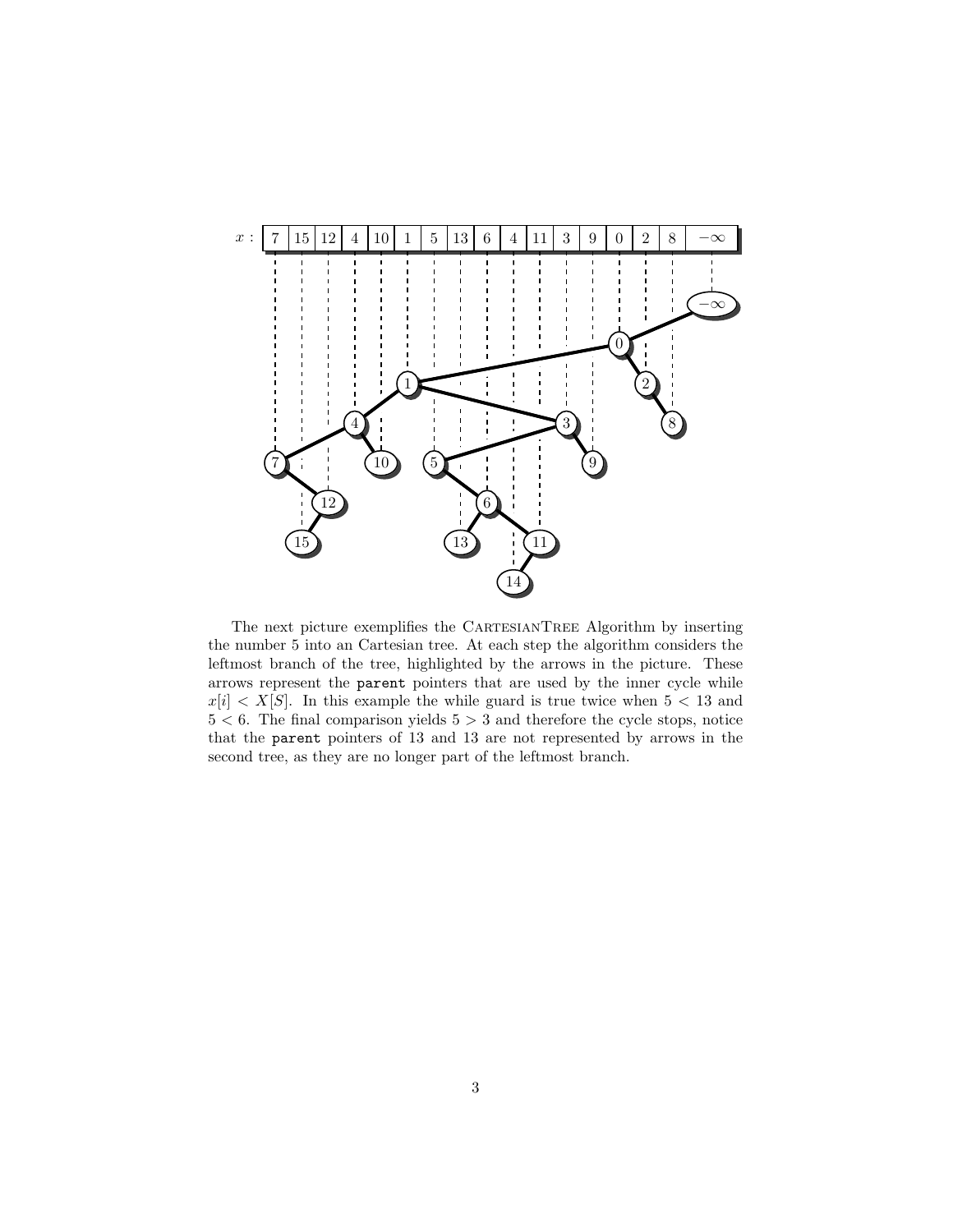

The next picture exemplifies the CARTESIANTREE Algorithm by inserting the number 5 into an Cartesian tree. At each step the algorithm considers the leftmost branch of the tree, highlighted by the arrows in the picture. These arrows represent the parent pointers that are used by the inner cycle while  $x[i] \leq X[S]$ . In this example the while guard is true twice when  $5 \leq 13$  and  $5 < 6$ . The final comparison yields  $5 > 3$  and therefore the cycle stops, notice that the parent pointers of 13 and 13 are not represented by arrows in the second tree, as they are no longer part of the leftmost branch.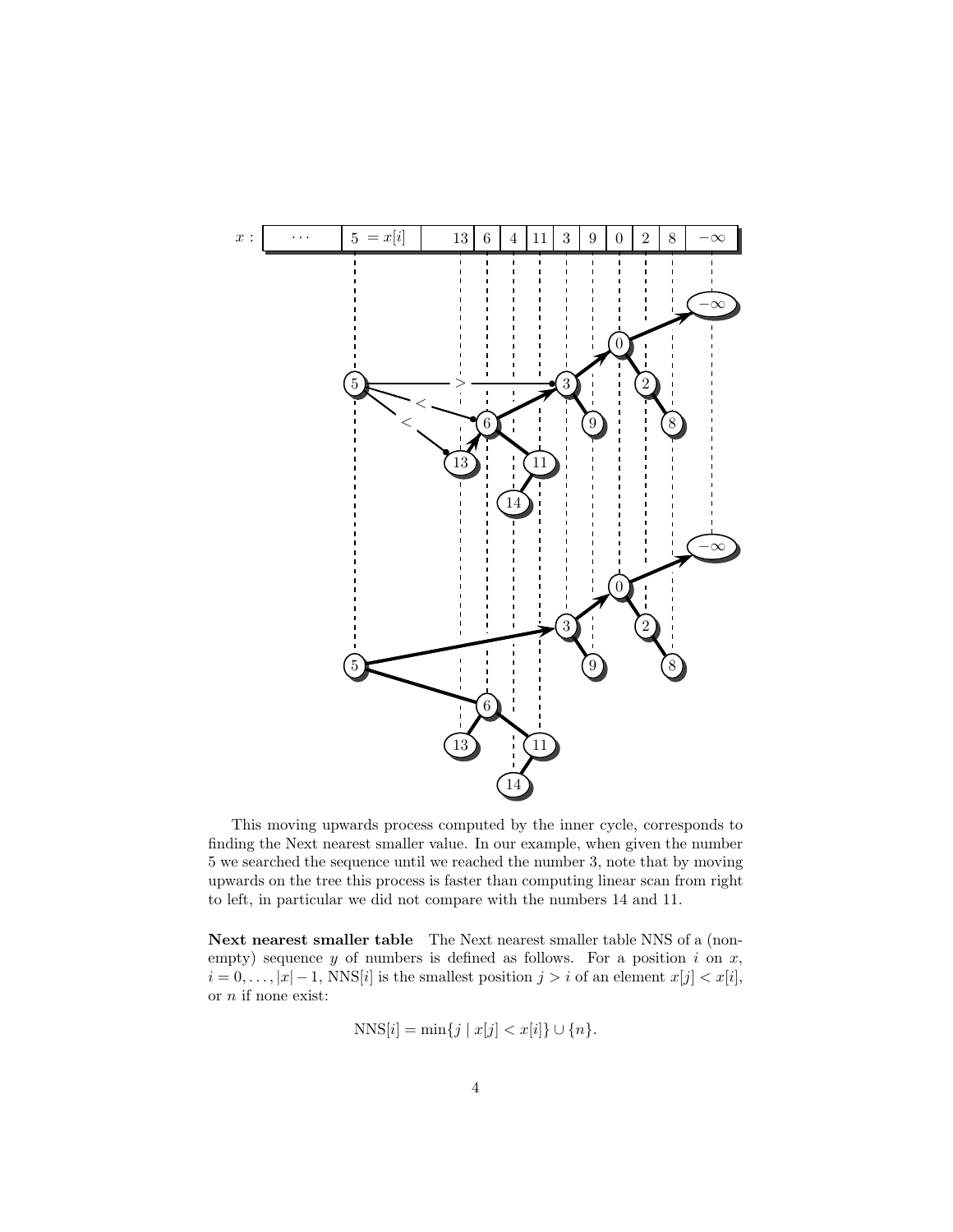

This moving upwards process computed by the inner cycle, corresponds to finding the Next nearest smaller value. In our example, when given the number 5 we searched the sequence until we reached the number 3, note that by moving upwards on the tree this process is faster than computing linear scan from right to left, in particular we did not compare with the numbers 14 and 11.

Next nearest smaller table The Next nearest smaller table NNS of a (nonempty) sequence  $y$  of numbers is defined as follows. For a position  $i$  on  $x$ ,  $i = 0, \ldots, |x| - 1$ , NNS[i] is the smallest position  $j > i$  of an element  $x[j] < x[i]$ , or  $\boldsymbol{n}$  if none exist:

$$
NNS[i] = \min\{j \mid x[j] < x[i]\} \cup \{n\}.
$$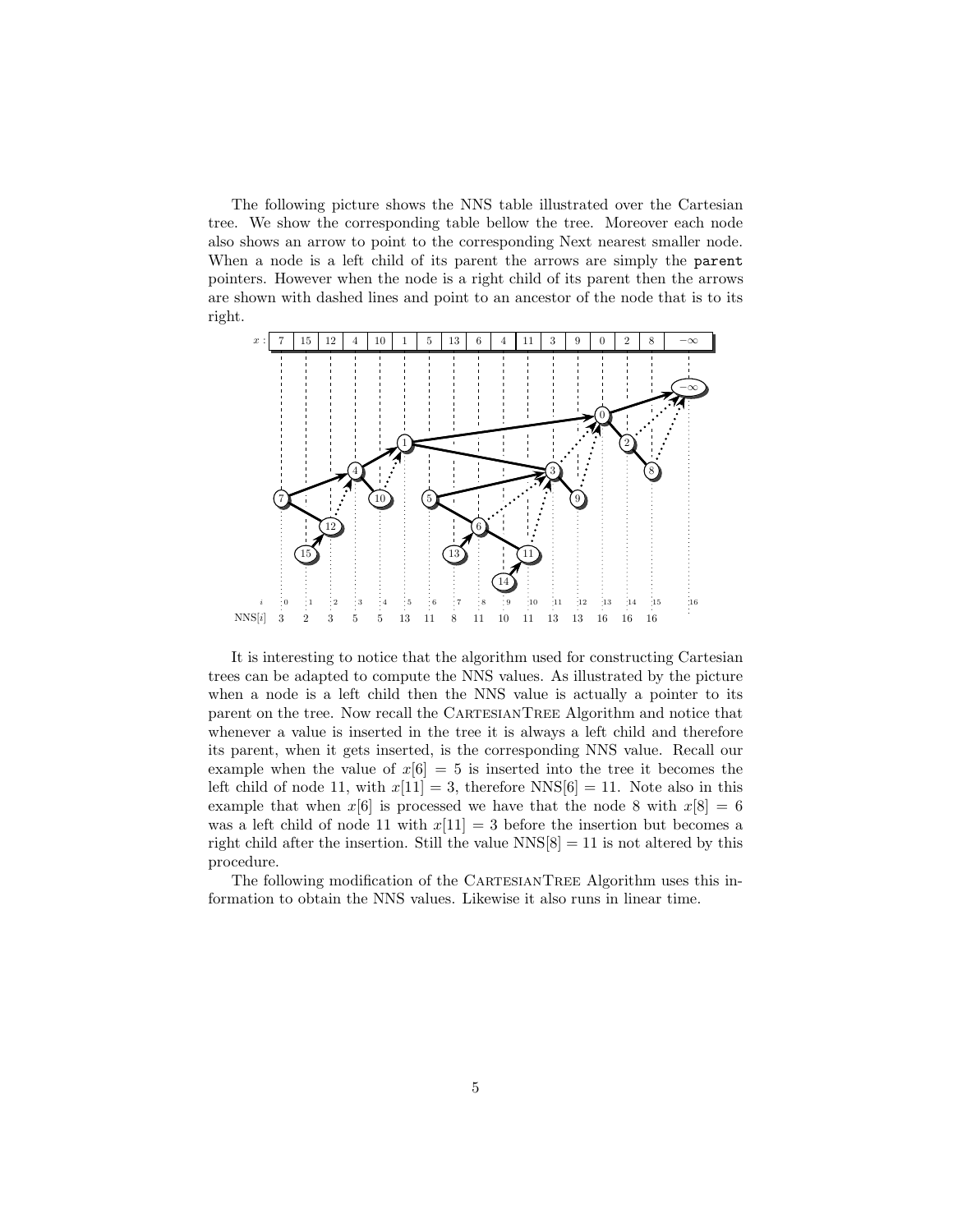The following picture shows the NNS table illustrated over the Cartesian tree. We show the corresponding table bellow the tree. Moreover each node also shows an arrow to point to the corresponding Next nearest smaller node. When a node is a left child of its parent the arrows are simply the parent pointers. However when the node is a right child of its parent then the arrows are shown with dashed lines and point to an ancestor of the node that is to its right.



It is interesting to notice that the algorithm used for constructing Cartesian trees can be adapted to compute the NNS values. As illustrated by the picture when a node is a left child then the NNS value is actually a pointer to its parent on the tree. Now recall the CARTESIANTREE Algorithm and notice that whenever a value is inserted in the tree it is always a left child and therefore its parent, when it gets inserted, is the corresponding NNS value. Recall our example when the value of  $x[6] = 5$  is inserted into the tree it becomes the left child of node 11, with  $x[11] = 3$ , therefore NNS[6] = 11. Note also in this example that when  $x[6]$  is processed we have that the node 8 with  $x[8] = 6$ was a left child of node 11 with  $x[11] = 3$  before the insertion but becomes a right child after the insertion. Still the value  $NNS[8] = 11$  is not altered by this procedure.

The following modification of the CARTESIANTREE Algorithm uses this information to obtain the NNS values. Likewise it also runs in linear time.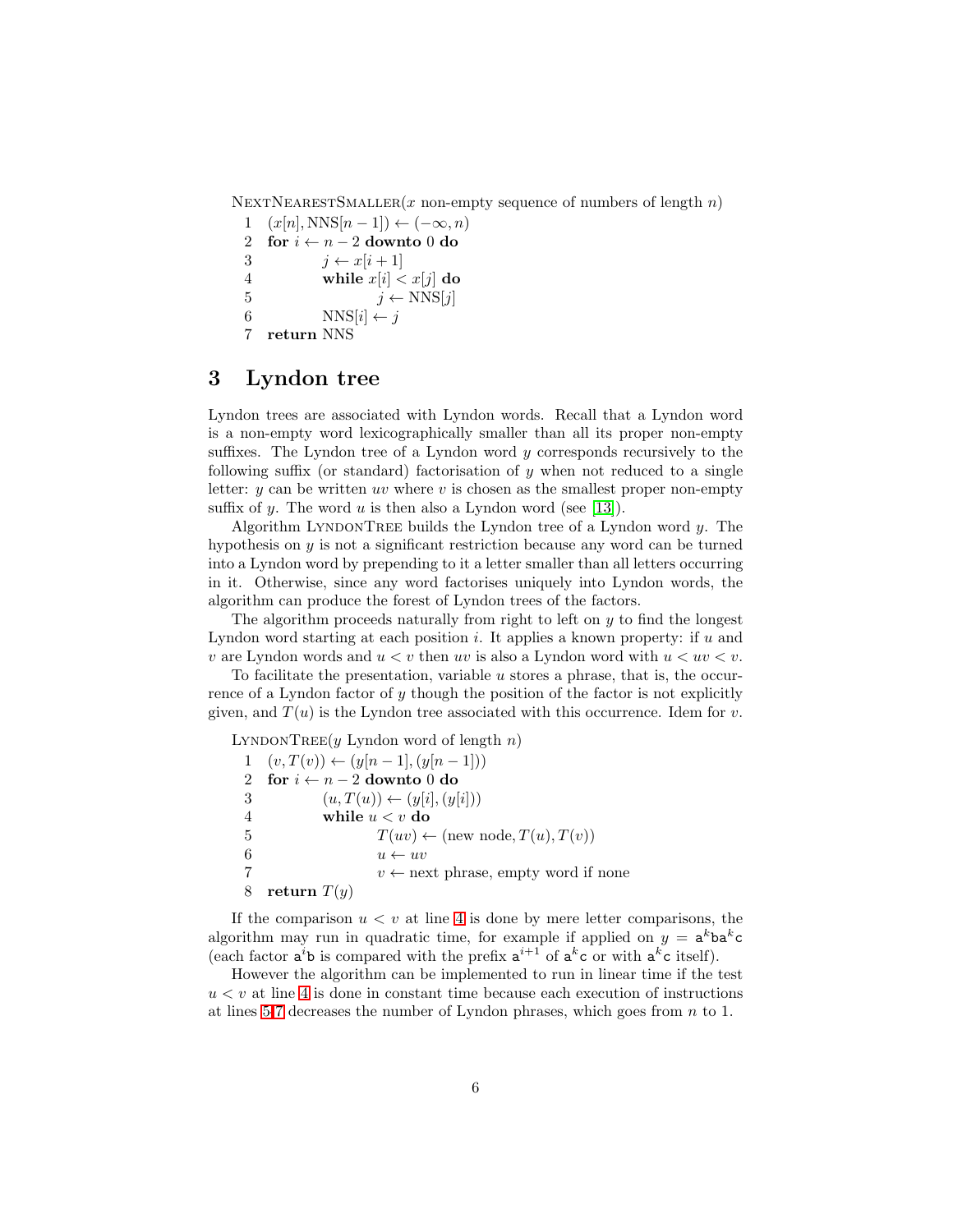NEXTNEARESTSMALLER(x non-empty sequence of numbers of length  $n$ )

```
1 (x[n], \text{NNS}[n-1]) \leftarrow (-\infty, n)2 for i \leftarrow n-2 downto 0 do
3 j \leftarrow x[i+1]4 while x[i] < x[j] do
5 j \leftarrow \text{NNS}[j]6 NNS[i] \leftarrow j7 return NNS
```
# <span id="page-5-0"></span>3 Lyndon tree

Lyndon trees are associated with Lyndon words. Recall that a Lyndon word is a non-empty word lexicographically smaller than all its proper non-empty suffixes. The Lyndon tree of a Lyndon word  $y$  corresponds recursively to the following suffix (or standard) factorisation of  $y$  when not reduced to a single letter:  $y$  can be written uv where  $v$  is chosen as the smallest proper non-empty suffix of y. The word u is then also a Lyndon word (see [\[13\]](#page-11-2)).

Algorithm LYNDONTREE builds the Lyndon tree of a Lyndon word  $y$ . The hypothesis on  $y$  is not a significant restriction because any word can be turned into a Lyndon word by prepending to it a letter smaller than all letters occurring in it. Otherwise, since any word factorises uniquely into Lyndon words, the algorithm can produce the forest of Lyndon trees of the factors.

The algorithm proceeds naturally from right to left on  $y$  to find the longest Lyndon word starting at each position  $i$ . It applies a known property: if  $u$  and v are Lyndon words and  $u < v$  then uv is also a Lyndon word with  $u < uv < v$ .

To facilitate the presentation, variable  $u$  stores a phrase, that is, the occurrence of a Lyndon factor of  $y$  though the position of the factor is not explicitly given, and  $T(u)$  is the Lyndon tree associated with this occurrence. Idem for v.

LYNDONTREE(y Lyndon word of length  $n$ )

1  $(v, T(v)) \leftarrow (y[n-1], (y[n-1]))$ 2 for  $i \leftarrow n-2$  downto 0 do 3  $(u, T(u)) \leftarrow (y[i], (y[i]))$ 4 while  $u < v$  do 5  $T(uv) \leftarrow (\text{new node}, T(u), T(v))$ 6  $u \leftarrow uv$ 7 v ← next phrase, empty word if none 8 return  $T(y)$ 

If the comparison  $u < v$  at line [4](#page-5-0) is done by mere letter comparisons, the algorithm may run in quadratic time, for example if applied on  $y = a^kba^kc$ (each factor  $a^i b$  is compared with the prefix  $a^{i+1}$  of  $a^k c$  or with  $a^k c$  itself).

However the algorithm can be implemented to run in linear time if the test  $u < v$  at line [4](#page-5-0) is done in constant time because each execution of instructions at lines [5-7](#page-5-0) decreases the number of Lyndon phrases, which goes from  $n$  to 1.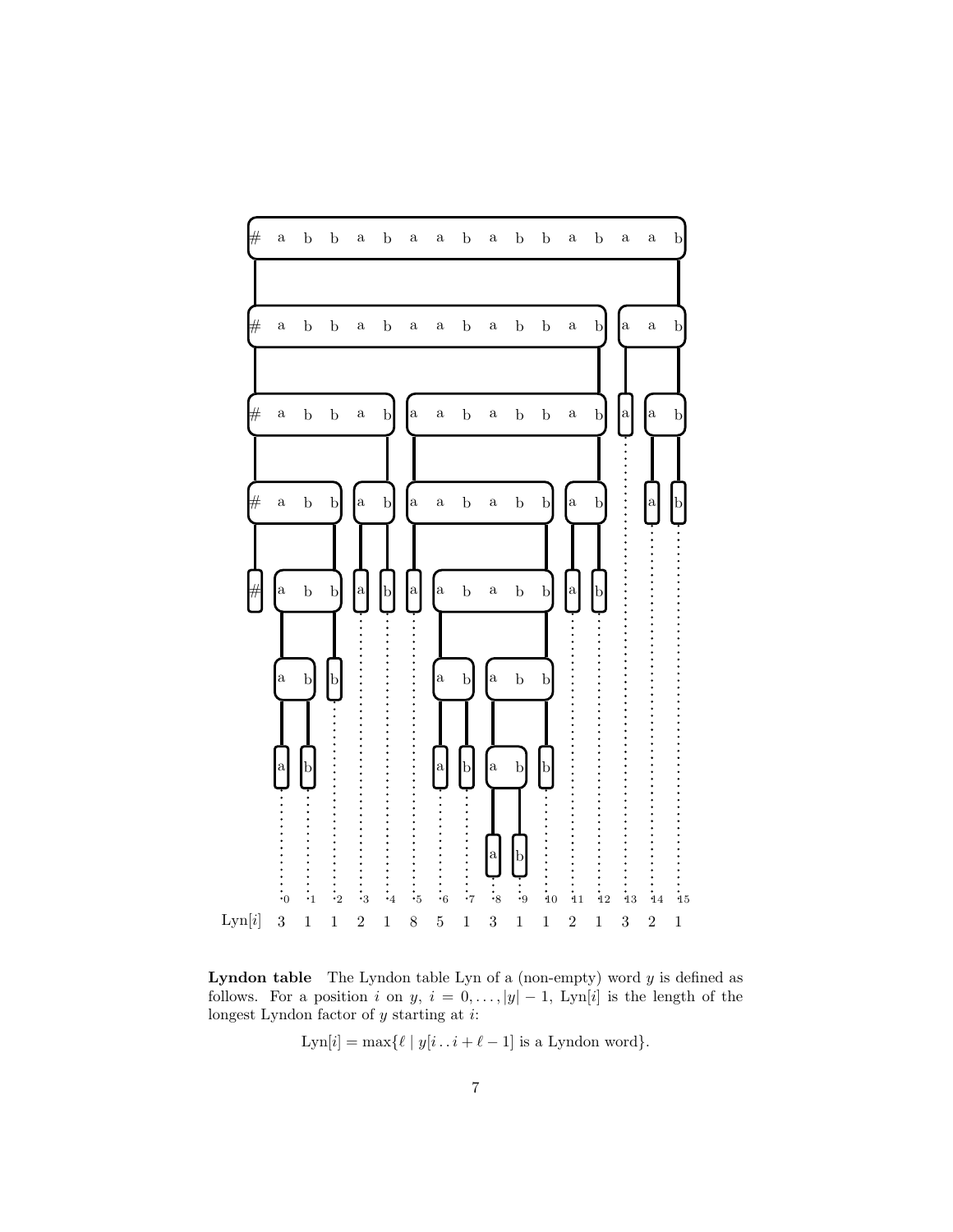

<span id="page-6-0"></span>**Lyndon table** The Lyndon table Lyn of a (non-empty) word  $y$  is defined as follows. For a position i on y,  $i = 0, \ldots, |y| - 1$ , Lyn[i] is the length of the longest Lyndon factor of  $y$  starting at  $i$ :

 $\text{Lyn}[i] = \max \{ \ell \mid y[i \mathinner{.\,.} i + \ell - 1] \text{ is a Lyndon word} \}.$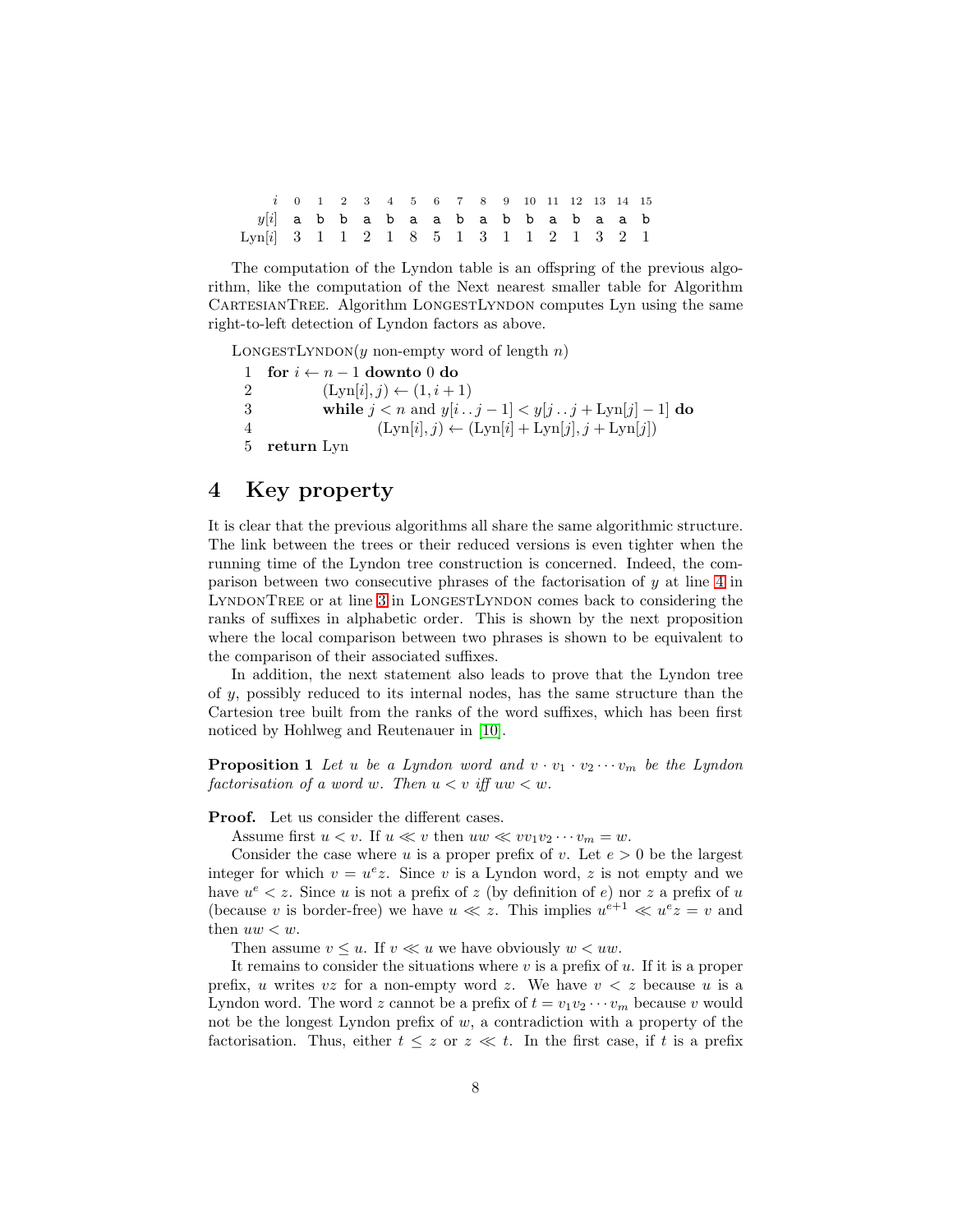|                                        |  |  |  |  |  |  |  | $i$ 0 1 2 3 4 5 6 7 8 9 10 11 12 13 14 15 |
|----------------------------------------|--|--|--|--|--|--|--|-------------------------------------------|
| $y[i]$ abbabaababbabaab                |  |  |  |  |  |  |  |                                           |
| Lyn[i] 3 1 1 2 1 8 5 1 3 1 1 2 1 3 2 1 |  |  |  |  |  |  |  |                                           |

The computation of the Lyndon table is an offspring of the previous algorithm, like the computation of the Next nearest smaller table for Algorithm CARTESIANTREE. Algorithm LONGESTLYNDON computes Lyn using the same right-to-left detection of Lyndon factors as above.

LONGESTLYNDON(y non-empty word of length  $n$ )

1 for  $i \leftarrow n-1$  downto 0 do 2  $(Lyn[i], j) \leftarrow (1, i + 1)$ 3 while  $j < n$  and  $y[i \tcdot j - 1] < y[j \tcdot j + \text{Lyn}[j] - 1]$  do 4  $(Lyn[i], j) \leftarrow (Lyn[i] + Lyn[j], j + Lyn[j])$ 5 return Lyn

#### 4 Key property

It is clear that the previous algorithms all share the same algorithmic structure. The link between the trees or their reduced versions is even tighter when the running time of the Lyndon tree construction is concerned. Indeed, the comparison between two consecutive phrases of the factorisation of y at line [4](#page-5-0) in LYNDONTREE or at line [3](#page-6-0) in LONGESTLYNDON comes back to considering the ranks of suffixes in alphabetic order. This is shown by the next proposition where the local comparison between two phrases is shown to be equivalent to the comparison of their associated suffixes.

In addition, the next statement also leads to prove that the Lyndon tree of y, possibly reduced to its internal nodes, has the same structure than the Cartesion tree built from the ranks of the word suffixes, which has been first noticed by Hohlweg and Reutenauer in [\[10\]](#page-10-4).

<span id="page-7-0"></span>**Proposition 1** Let u be a Lyndon word and  $v \cdot v_1 \cdot v_2 \cdots v_m$  be the Lyndon factorisation of a word w. Then  $u < v$  iff  $uw < w$ .

Proof. Let us consider the different cases.

Assume first  $u < v$ . If  $u \ll v$  then  $uw \ll vv_1v_2\cdots v_m = w$ .

Consider the case where u is a proper prefix of v. Let  $e > 0$  be the largest integer for which  $v = u^e z$ . Since v is a Lyndon word, z is not empty and we have  $u^e < z$ . Since u is not a prefix of z (by definition of e) nor z a prefix of u (because v is border-free) we have  $u \ll z$ . This implies  $u^{e+1} \ll u^e z = v$  and then  $uw < w$ .

Then assume  $v \leq u$ . If  $v \ll u$  we have obviously  $w < uw$ .

It remains to consider the situations where  $v$  is a prefix of  $u$ . If it is a proper prefix, u writes vz for a non-empty word z. We have  $v < z$  because u is a Lyndon word. The word z cannot be a prefix of  $t = v_1v_2 \cdots v_m$  because v would not be the longest Lyndon prefix of  $w$ , a contradiction with a property of the factorisation. Thus, either  $t \leq z$  or  $z \ll t$ . In the first case, if t is a prefix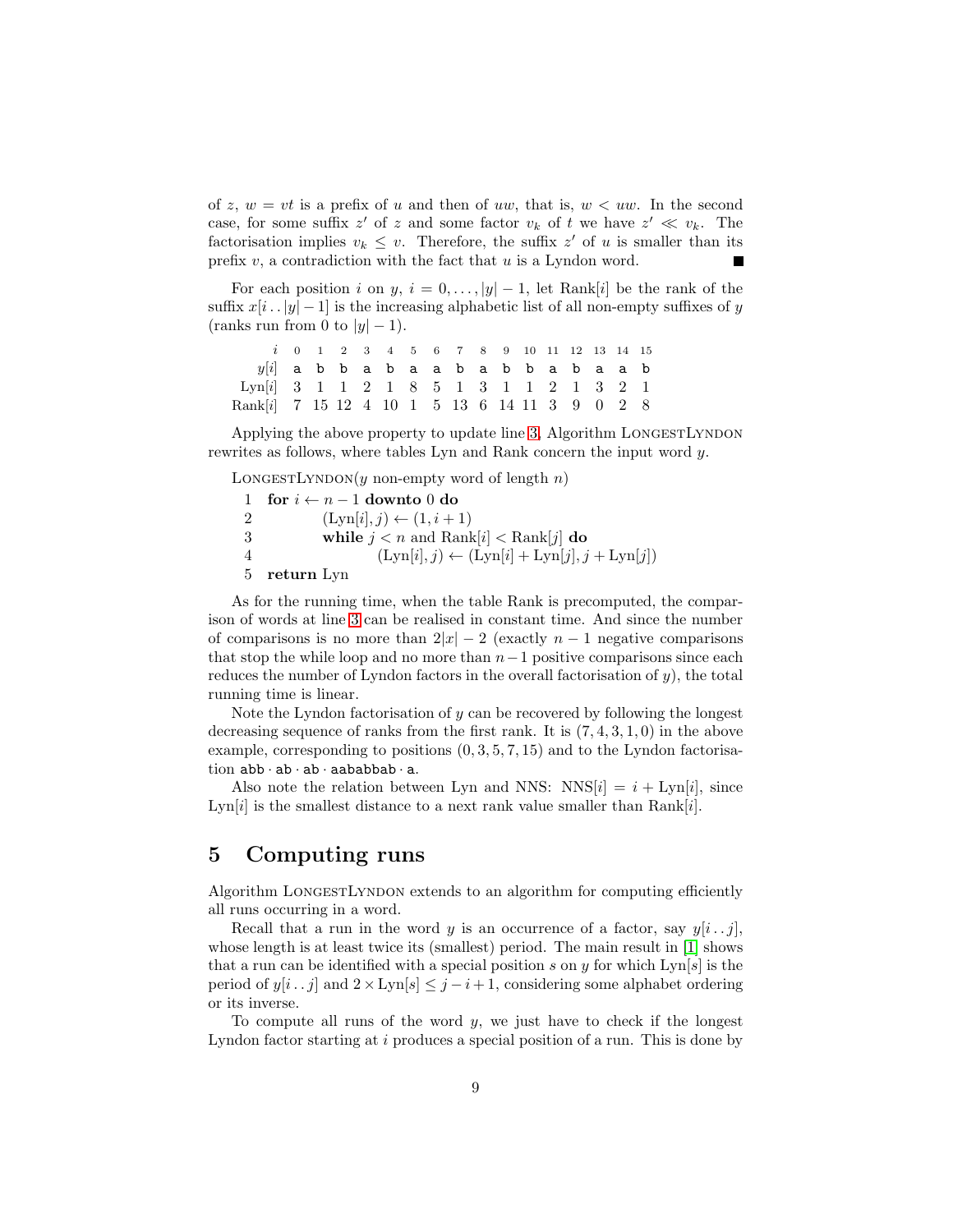of z,  $w = vt$  is a prefix of u and then of uw, that is,  $w < uw$ . In the second case, for some suffix z' of z and some factor  $v_k$  of t we have  $z' \ll v_k$ . The factorisation implies  $v_k \leq v$ . Therefore, the suffix z' of u is smaller than its prefix  $v$ , a contradiction with the fact that  $u$  is a Lyndon word. Г

For each position i on y,  $i = 0, \ldots, |y| - 1$ , let Rank[i] be the rank of the suffix  $x[i \nvert . |y| - 1]$  is the increasing alphabetic list of all non-empty suffixes of y (ranks run from 0 to  $|y| - 1$ ).

```
i 0 1 2 3 4 5 6 7 8 9 10 11 12 13 14 15
  y[i] a b b a b a a b a b b a b a a b
Lyn[i] 3 1 1 2 1 8 5 1 3 1 1 2 1 3 2 1
Rank[i] 7 15 12 4 10 1 5 13 6 14 11 3 9 0 2 8
```
Applying the above property to update line [3,](#page-6-0) Algorithm LONGESTLYNDON rewrites as follows, where tables Lyn and Rank concern the input word y.

LONGESTLYNDON(y non-empty word of length  $n$ )

1 for  $i \leftarrow n-1$  downto 0 do 2  $(Lyn[i], j) \leftarrow (1, i + 1)$ 3 while  $j < n$  and  $\text{Rank}[i] < \text{Rank}[j]$  do 4  $(Lyn[i], j) \leftarrow (Lyn[i] + Lyn[j], j + Lyn[j])$ 5 return Lyn

As for the running time, when the table Rank is precomputed, the comparison of words at line [3](#page-6-0) can be realised in constant time. And since the number of comparisons is no more than  $2|x| - 2$  (exactly  $n - 1$  negative comparisons that stop the while loop and no more than  $n-1$  positive comparisons since each reduces the number of Lyndon factors in the overall factorisation of  $y$ ), the total running time is linear.

Note the Lyndon factorisation of  $y$  can be recovered by following the longest decreasing sequence of ranks from the first rank. It is  $(7, 4, 3, 1, 0)$  in the above example, corresponding to positions  $(0, 3, 5, 7, 15)$  and to the Lyndon factorisation abb · ab · ab · aababbab · a.

Also note the relation between Lyn and NNS:  $NNS[i] = i + Lyn[i]$ , since Lyn[i] is the smallest distance to a next rank value smaller than  $Rank[i]$ .

# <span id="page-8-0"></span>5 Computing runs

Algorithm LONGESTLYNDON extends to an algorithm for computing efficiently all runs occurring in a word.

Recall that a run in the word y is an occurrence of a factor, say  $y[i \tcdot j]$ , whose length is at least twice its (smallest) period. The main result in [\[1\]](#page-10-3) shows that a run can be identified with a special position s on y for which  $\text{Lyn}[s]$  is the period of  $y[i \tcdot j]$  and  $2 \times \text{Lyn}[s] \leq j - i + 1$ , considering some alphabet ordering or its inverse.

To compute all runs of the word  $y$ , we just have to check if the longest Lyndon factor starting at i produces a special position of a run. This is done by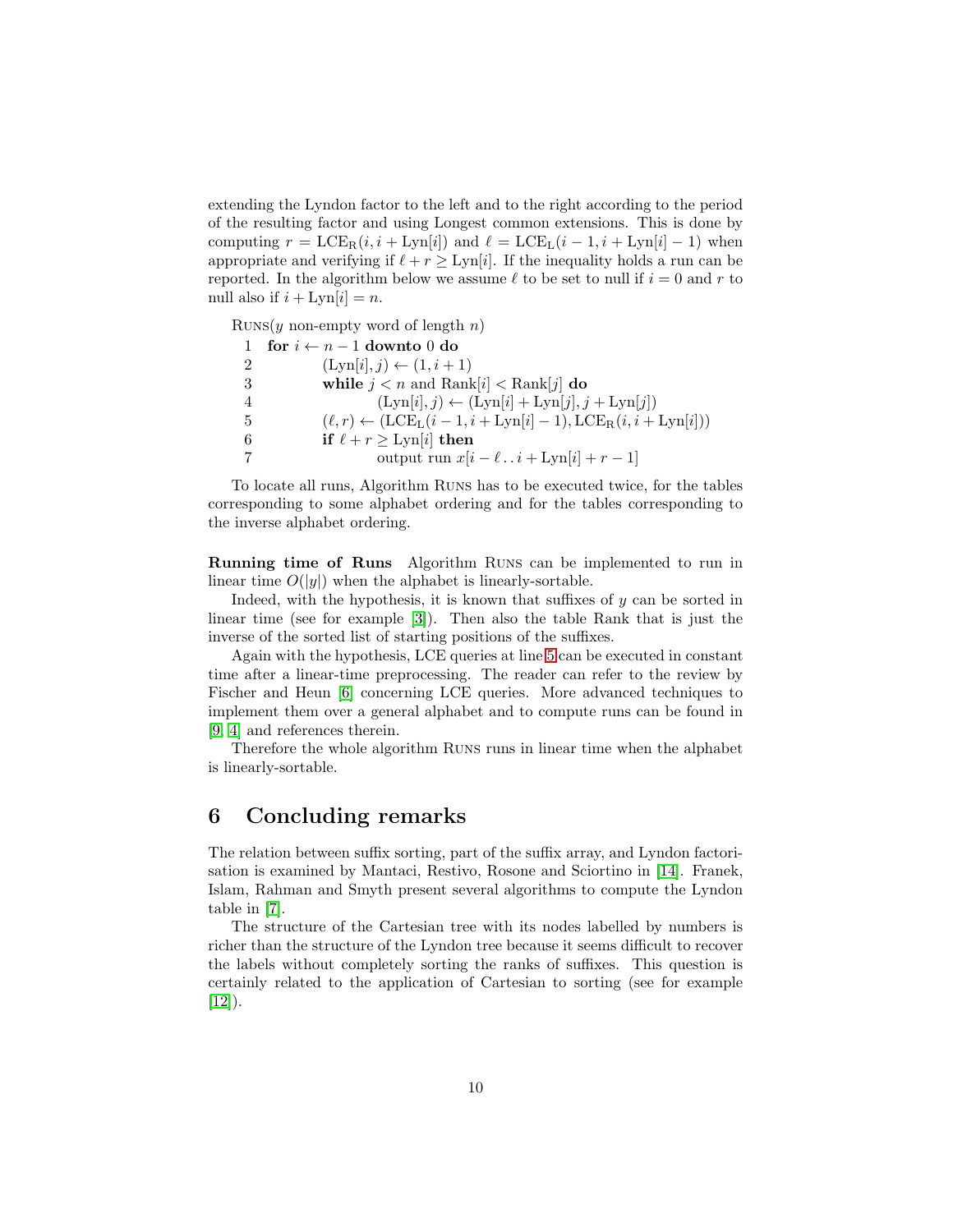extending the Lyndon factor to the left and to the right according to the period of the resulting factor and using Longest common extensions. This is done by computing  $r = \text{LCE}_R(i, i + \text{Lyn}[i])$  and  $\ell = \text{LCE}_L(i - 1, i + \text{Lyn}[i] - 1)$  when appropriate and verifying if  $\ell + r \geq Lyn[i]$ . If the inequality holds a run can be reported. In the algorithm below we assume  $\ell$  to be set to null if  $i = 0$  and r to null also if  $i + \text{Lyn}[i] = n$ .

RUNS(y non-empty word of length  $n$ )

|   | for $i \leftarrow n-1$ downto 0 do                                  |
|---|---------------------------------------------------------------------|
| 2 | $(Lyn[i], j) \leftarrow (1, i + 1)$                                 |
| 3 | while $j < n$ and Rank[i] $<$ Rank[j] do                            |
|   | $(Lyn[i], j) \leftarrow (Lyn[i] + Lyn[j], j + Lyn[j])$              |
| 5 | $(\ell, r) \leftarrow (LCE_L(i-1, i+Lyn[i]-1), LCE_R(i, i+Lyn[i]))$ |
| 6 | if $\ell + r \geq \text{Lyn}[i]$ then                               |
|   | output run $x[i - \ell \dots i + \text{Lyn}[i] + r - 1]$            |

To locate all runs, Algorithm Runs has to be executed twice, for the tables corresponding to some alphabet ordering and for the tables corresponding to the inverse alphabet ordering.

Running time of Runs Algorithm Runs can be implemented to run in linear time  $O(|y|)$  when the alphabet is linearly-sortable.

Indeed, with the hypothesis, it is known that suffixes of  $y$  can be sorted in linear time (see for example [\[3\]](#page-10-5)). Then also the table Rank that is just the inverse of the sorted list of starting positions of the suffixes.

Again with the hypothesis, LCE queries at line [5](#page-8-0) can be executed in constant time after a linear-time preprocessing. The reader can refer to the review by Fischer and Heun [\[6\]](#page-10-6) concerning LCE queries. More advanced techniques to implement them over a general alphabet and to compute runs can be found in [\[9,](#page-10-7) [4\]](#page-10-8) and references therein.

Therefore the whole algorithm Runs runs in linear time when the alphabet is linearly-sortable.

#### 6 Concluding remarks

The relation between suffix sorting, part of the suffix array, and Lyndon factorisation is examined by Mantaci, Restivo, Rosone and Sciortino in [\[14\]](#page-11-4). Franek, Islam, Rahman and Smyth present several algorithms to compute the Lyndon table in [\[7\]](#page-10-9).

The structure of the Cartesian tree with its nodes labelled by numbers is richer than the structure of the Lyndon tree because it seems difficult to recover the labels without completely sorting the ranks of suffixes. This question is certainly related to the application of Cartesian to sorting (see for example  $[12]$ ).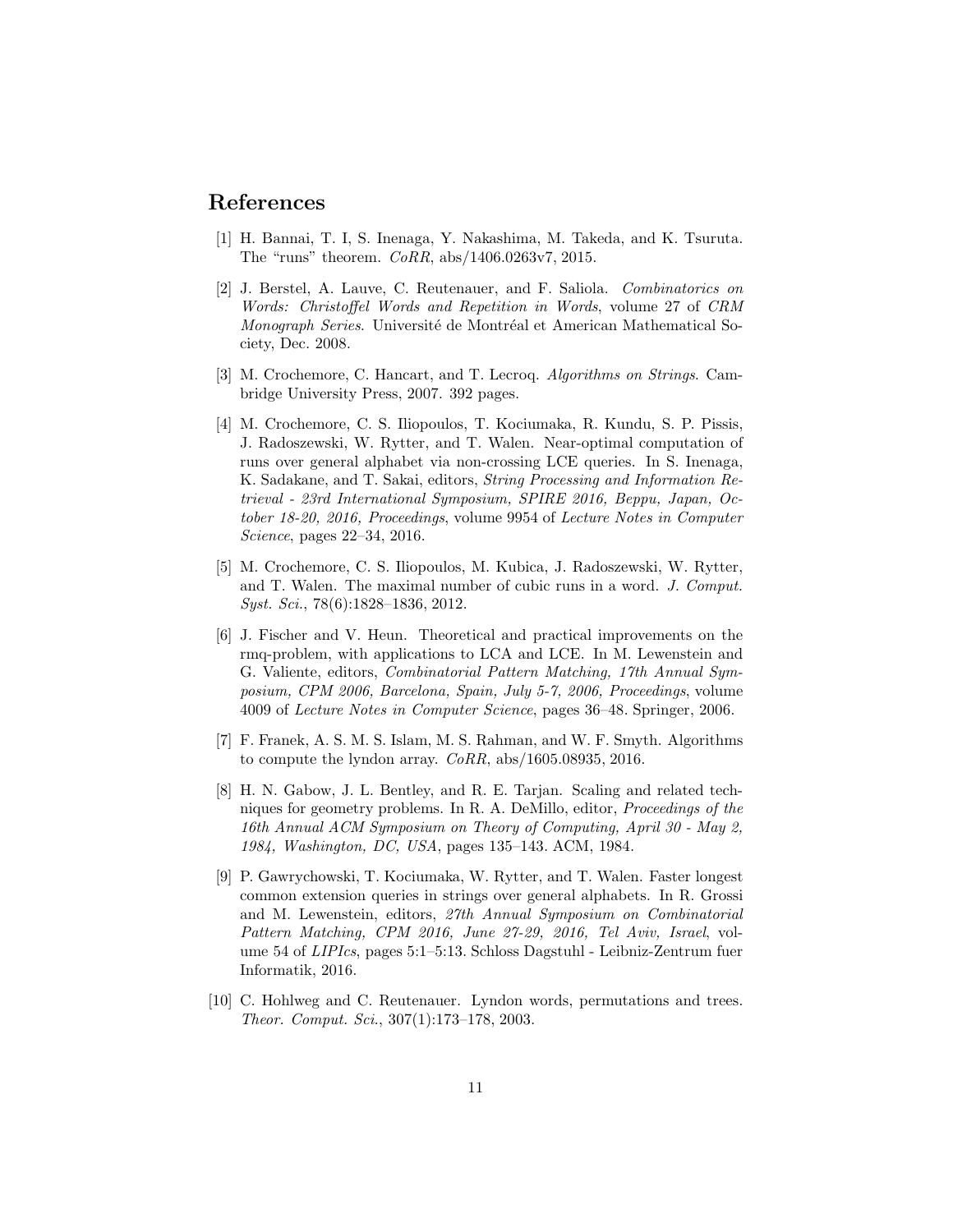#### <span id="page-10-3"></span>References

- <span id="page-10-1"></span>[1] H. Bannai, T. I, S. Inenaga, Y. Nakashima, M. Takeda, and K. Tsuruta. The "runs" theorem. CoRR, abs/1406.0263v7, 2015.
- [2] J. Berstel, A. Lauve, C. Reutenauer, and F. Saliola. Combinatorics on Words: Christoffel Words and Repetition in Words, volume 27 of CRM Monograph Series. Université de Montréal et American Mathematical Society, Dec. 2008.
- <span id="page-10-5"></span>[3] M. Crochemore, C. Hancart, and T. Lecroq. Algorithms on Strings. Cambridge University Press, 2007. 392 pages.
- <span id="page-10-8"></span>[4] M. Crochemore, C. S. Iliopoulos, T. Kociumaka, R. Kundu, S. P. Pissis, J. Radoszewski, W. Rytter, and T. Walen. Near-optimal computation of runs over general alphabet via non-crossing LCE queries. In S. Inenaga, K. Sadakane, and T. Sakai, editors, String Processing and Information Retrieval - 23rd International Symposium, SPIRE 2016, Beppu, Japan, October 18-20, 2016, Proceedings, volume 9954 of Lecture Notes in Computer Science, pages 22–34, 2016.
- <span id="page-10-2"></span>[5] M. Crochemore, C. S. Iliopoulos, M. Kubica, J. Radoszewski, W. Rytter, and T. Walen. The maximal number of cubic runs in a word. J. Comput. Syst. Sci., 78(6):1828–1836, 2012.
- <span id="page-10-6"></span>[6] J. Fischer and V. Heun. Theoretical and practical improvements on the rmq-problem, with applications to LCA and LCE. In M. Lewenstein and G. Valiente, editors, Combinatorial Pattern Matching, 17th Annual Symposium, CPM 2006, Barcelona, Spain, July 5-7, 2006, Proceedings, volume 4009 of Lecture Notes in Computer Science, pages 36–48. Springer, 2006.
- <span id="page-10-9"></span>[7] F. Franek, A. S. M. S. Islam, M. S. Rahman, and W. F. Smyth. Algorithms to compute the lyndon array. CoRR, abs/1605.08935, 2016.
- <span id="page-10-0"></span>[8] H. N. Gabow, J. L. Bentley, and R. E. Tarjan. Scaling and related techniques for geometry problems. In R. A. DeMillo, editor, Proceedings of the 16th Annual ACM Symposium on Theory of Computing, April 30 - May 2, 1984, Washington, DC, USA, pages 135–143. ACM, 1984.
- <span id="page-10-7"></span>[9] P. Gawrychowski, T. Kociumaka, W. Rytter, and T. Walen. Faster longest common extension queries in strings over general alphabets. In R. Grossi and M. Lewenstein, editors, 27th Annual Symposium on Combinatorial Pattern Matching, CPM 2016, June 27-29, 2016, Tel Aviv, Israel, volume 54 of LIPIcs, pages 5:1–5:13. Schloss Dagstuhl - Leibniz-Zentrum fuer Informatik, 2016.
- <span id="page-10-4"></span>[10] C. Hohlweg and C. Reutenauer. Lyndon words, permutations and trees. Theor. Comput. Sci., 307(1):173–178, 2003.